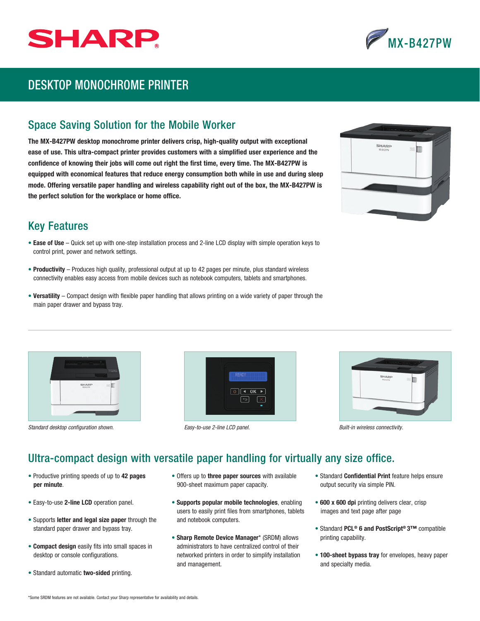



## DESKTOP MONOCHROME PRINTER

## Space Saving Solution for the Mobile Worker

The MX-B427PW desktop monochrome printer delivers crisp, high-quality output with exceptional ease of use. This ultra-compact printer provides customers with a simplified user experience and the confidence of knowing their jobs will come out right the first time, every time. The MX-B427PW is equipped with economical features that reduce energy consumption both while in use and during sleep mode. Offering versatile paper handling and wireless capability right out of the box, the MX-B427PW is the perfect solution for the workplace or home office.



## Key Features

- Ease of Use Quick set up with one-step installation process and 2-line LCD display with simple operation keys to control print, power and network settings.
- Productivity Produces high quality, professional output at up to 42 pages per minute, plus standard wireless connectivity enables easy access from mobile devices such as notebook computers, tablets and smartphones.
- Versatility Compact design with flexible paper handling that allows printing on a wide variety of paper through the main paper drawer and bypass tray.



*Standard desktop configuration shown. Easy-to-use 2-line LCD panel. Built-in wireless connectivity.*





## Ultra-compact design with versatile paper handling for virtually any size office.

- Productive printing speeds of up to 42 pages per minute.
- Easy-to-use 2-line LCD operation panel.
- Supports letter and legal size paper through the standard paper drawer and bypass tray.
- Compact design easily fits into small spaces in desktop or console configurations.
- Standard automatic two-sided printing.
- Offers up to three paper sources with available 900-sheet maximum paper capacity.
- Supports popular mobile technologies, enabling users to easily print files from smartphones, tablets and notebook computers.
- Sharp Remote Device Manager\* (SRDM) allows administrators to have centralized control of their networked printers in order to simplify installation and management.
- Standard Confidential Print feature helps ensure output security via simple PIN.
- 600 x 600 dpi printing delivers clear, crisp images and text page after page
- Standard PCL® 6 and PostScript® 3™ compatible printing capability.
- 100-sheet bypass tray for envelopes, heavy paper and specialty media.